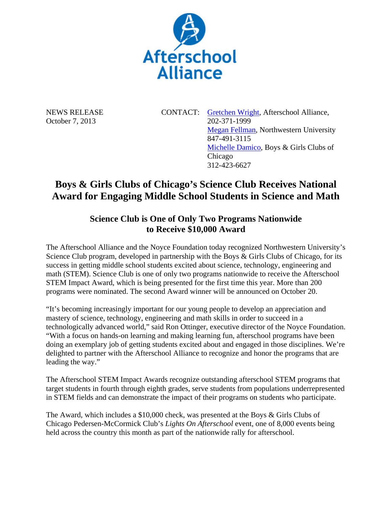

NEWS RELEASE CONTACT: Gretchen Wright, Afterschool Alliance, October 7, 2013 202-371-1999 Megan Fellman, Northwestern University 847-491-3115 Michelle Damico, Boys & Girls Clubs of Chicago 312-423-6627

## **Boys & Girls Clubs of Chicago's Science Club Receives National Award for Engaging Middle School Students in Science and Math**

## **Science Club is One of Only Two Programs Nationwide to Receive \$10,000 Award**

The Afterschool Alliance and the Noyce Foundation today recognized Northwestern University's Science Club program, developed in partnership with the Boys & Girls Clubs of Chicago, for its success in getting middle school students excited about science, technology, engineering and math (STEM). Science Club is one of only two programs nationwide to receive the Afterschool STEM Impact Award, which is being presented for the first time this year. More than 200 programs were nominated. The second Award winner will be announced on October 20.

"It's becoming increasingly important for our young people to develop an appreciation and mastery of science, technology, engineering and math skills in order to succeed in a technologically advanced world," said Ron Ottinger, executive director of the Noyce Foundation. "With a focus on hands-on learning and making learning fun, afterschool programs have been doing an exemplary job of getting students excited about and engaged in those disciplines. We're delighted to partner with the Afterschool Alliance to recognize and honor the programs that are leading the way."

The Afterschool STEM Impact Awards recognize outstanding afterschool STEM programs that target students in fourth through eighth grades, serve students from populations underrepresented in STEM fields and can demonstrate the impact of their programs on students who participate.

The Award, which includes a \$10,000 check, was presented at the Boys & Girls Clubs of Chicago Pedersen-McCormick Club's *Lights On Afterschool* event, one of 8,000 events being held across the country this month as part of the nationwide rally for afterschool.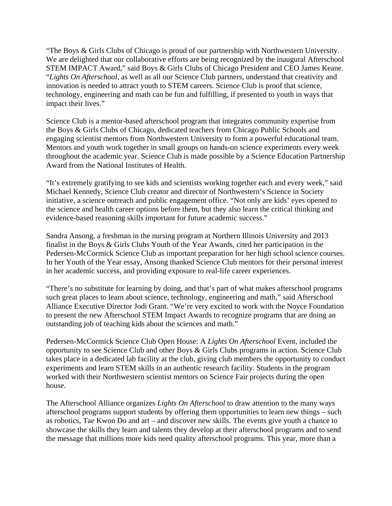"The Boys & Girls Clubs of Chicago is proud of our partnership with Northwestern University. We are delighted that our collaborative efforts are being recognized by the inaugural Afterschool STEM IMPACT Award," said Boys & Girls Clubs of Chicago President and CEO James Keane. "*Lights On Afterschool*, as well as all our Science Club partners, understand that creativity and innovation is needed to attract youth to STEM careers. Science Club is proof that science, technology, engineering and math can be fun and fulfilling, if presented to youth in ways that impact their lives."

Science Club is a mentor-based afterschool program that integrates community expertise from the Boys & Girls Clubs of Chicago, dedicated teachers from Chicago Public Schools and engaging scientist mentors from Northwestern University to form a powerful educational team. Mentors and youth work together in small groups on hands-on science experiments every week throughout the academic year. Science Club is made possible by a Science Education Partnership Award from the National Institutes of Health.

"It's extremely gratifying to see kids and scientists working together each and every week," said Michael Kennedy, Science Club creator and director of Northwestern's Science in Society initiative, a science outreach and public engagement office. "Not only are kids' eyes opened to the science and health career options before them, but they also learn the critical thinking and evidence-based reasoning skills important for future academic success."

Sandra Ansong, a freshman in the nursing program at Northern Illinois University and 2013 finalist in the Boys & Girls Clubs Youth of the Year Awards, cited her participation in the Pedersen-McCormick Science Club as important preparation for her high school science courses. In her Youth of the Year essay, Ansong thanked Science Club mentors for their personal interest in her academic success, and providing exposure to real-life career experiences.

"There's no substitute for learning by doing, and that's part of what makes afterschool programs such great places to learn about science, technology, engineering and math," said Afterschool Alliance Executive Director Jodi Grant. "We're very excited to work with the Noyce Foundation to present the new Afterschool STEM Impact Awards to recognize programs that are doing an outstanding job of teaching kids about the sciences and math."

Pedersen-McCormick Science Club Open House: A *Lights On Afterschool* Event, included the opportunity to see Science Club and other Boys & Girls Clubs programs in action. Science Club takes place in a dedicated lab facility at the club, giving club members the opportunity to conduct experiments and learn STEM skills in an authentic research facility. Students in the program worked with their Northwestern scientist mentors on Science Fair projects during the open house.

The Afterschool Alliance organizes *Lights On Afterschool* to draw attention to the many ways afterschool programs support students by offering them opportunities to learn new things – such as robotics, Tae Kwon Do and art – and discover new skills. The events give youth a chance to showcase the skills they learn and talents they develop at their afterschool programs and to send the message that millions more kids need quality afterschool programs. This year, more than a